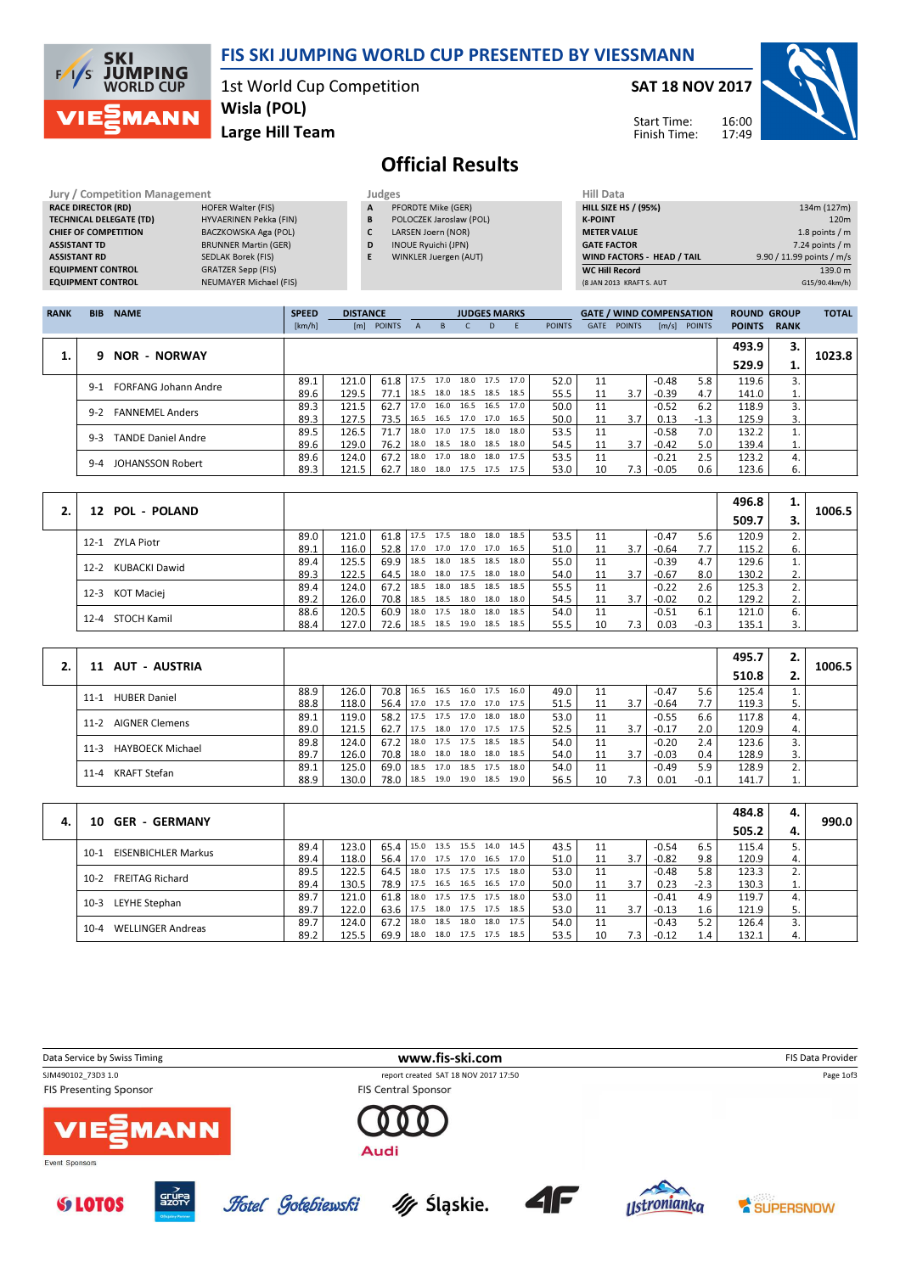

| <b>Jury / Competition Management</b> |                               |   | Judges                     | <b>Hill Data</b>   |
|--------------------------------------|-------------------------------|---|----------------------------|--------------------|
| <b>RACE DIRECTOR (RD)</b>            | <b>HOFER Walter (FIS)</b>     | A | PFORDTE Mike (GER)         | <b>HILL SIZE H</b> |
| <b>TECHNICAL DELEGATE (TD)</b>       | HYVAERINEN Pekka (FIN)        | B | POLOCZEK Jaroslaw (POL)    | <b>K-POINT</b>     |
| <b>CHIEF OF COMPETITION</b>          | BACZKOWSKA Aga (POL)          |   | LARSEN Joern (NOR)         | <b>METER VAI</b>   |
| <b>ASSISTANT TD</b>                  | <b>BRUNNER Martin (GER)</b>   | D | <b>INOUE Ryuichi (JPN)</b> | <b>GATE FACT</b>   |
| <b>ASSISTANT RD</b>                  | SEDLAK Borek (FIS)            |   | WINKLER Juergen (AUT)      | <b>WIND FACT</b>   |
| <b>EQUIPMENT CONTROL</b>             | <b>GRATZER Sepp (FIS)</b>     |   |                            | WC Hill Re         |
| <b>EQUIPMENT CONTROL</b>             | <b>NEUMAYER Michael (FIS)</b> |   |                            | (8 JAN 2013        |

- A PFORDTE Mike (GER)
- B POLOCZEK Jaroslaw (POL)
- C LARSEN Joern (NOR)
- D INOUE Ryuichi (JPN) E WINKLER Juergen (AUT)
- HILL SIZE HS / (95%) 134m (127m) **K-POINT** 220m METER VALUE 1.8 points / m GATE FACTOR 7.24 points / m WIND FACTORS - HEAD / TAIL 9.90 / 11.99 points / m/s WC Hill Record 139.0 m<br>
(8 JAN 2013 KRAFT S. AUT 615/90.4km/h) (8 JAN 2013 KRAFT S. AUT

| <b>RANK</b> | <b>BIB</b> | <b>NAME</b>                 | <b>SPEED</b> | <b>DISTANCE</b> |               |              |      | <b>JUDGES MARKS</b>      |      |                |               |      | <b>GATE / WIND COMPENSATION</b> |         |                | <b>ROUND GROUP</b> |             | <b>TOTAL</b> |
|-------------|------------|-----------------------------|--------------|-----------------|---------------|--------------|------|--------------------------|------|----------------|---------------|------|---------------------------------|---------|----------------|--------------------|-------------|--------------|
|             |            |                             | [km/h]       | [m]             | <b>POINTS</b> | $\mathbf{A}$ | B.   |                          | D    |                | <b>POINTS</b> | GATE | <b>POINTS</b>                   |         | $[m/s]$ POINTS | <b>POINTS</b>      | <b>RANK</b> |              |
|             |            |                             |              |                 |               |              |      |                          |      |                |               |      |                                 |         |                | 493.9              | З.          |              |
| 1.          | q          | <b>NOR - NORWAY</b>         |              |                 |               |              |      |                          |      |                |               |      |                                 |         |                | 529.9              | ⊥.          | 1023.8       |
|             | $9-1$      | <b>FORFANG Johann Andre</b> | 89.1         | 121.0           | 61.8          | 17.5         | 17.0 |                          |      | 18.0 17.5 17.0 | 52.0          | 11   |                                 | $-0.48$ | 5.8            | 119.6              | 3.          |              |
|             |            |                             | 89.6         | 129.5           | 77.1          | 18.5         | 18.0 | 18.5 18.5                |      | 18.5           | 55.5          | 11   | 3.7                             | $-0.39$ | 4.7            | 141.0              | ⊥.          |              |
|             | $9-2$      | <b>FANNEMEL Anders</b>      | 89.3         | 121.5           | 62.7          | 17.0         | 16.0 |                          |      | 16.5 16.5 17.0 | 50.0          | 11   |                                 | $-0.52$ | 6.2            | 118.9              |             |              |
|             |            |                             | 89.3         | 127.5           | 73.5          | 16.5         |      | 16.5 17.0 17.0 16.5      |      |                | 50.0          | 11   | 3.7                             | 0.13    | $-1.3$         | 125.9              | 3.          |              |
|             | $9-3$      | TANDE Daniel Andre          | 89.5         | 126.5           | 71.7          |              |      | 18.0 17.0 17.5 18.0 18.0 |      |                | 53.5          | 11   |                                 | $-0.58$ | 7.0            | 132.2              |             |              |
|             |            |                             | 89.6         | 129.0           | 76.2          |              |      | 18.0 18.5 18.0 18.5 18.0 |      |                | 54.5          | 11   | 3.7                             | $-0.42$ | 5.0            | 139.4              | ⊥.          |              |
|             | $9 - 4$    | <b>JOHANSSON Robert</b>     | 89.6         | 124.0           | 67.2          | 18.0         | 17.0 | 18.0                     | 18.0 | 17.5           | 53.5          | 11   |                                 | $-0.21$ | 2.5            | 123.2              | 4.          |              |
|             |            |                             | 89.3         | 121.5           | 62.7          | 18.0         |      | 18.0 17.5 17.5 17.5      |      |                | 53.0          | 10   | 7.3 I                           | $-0.05$ | 0.6            | 123.6              | 6.          |              |

| <b>POL - POLAND</b><br>12 |      |       |               |                                 |      |      |                     |      |      |    |     |         |        | 496.8 | ı. | 1006.5 |
|---------------------------|------|-------|---------------|---------------------------------|------|------|---------------------|------|------|----|-----|---------|--------|-------|----|--------|
|                           |      |       |               |                                 |      |      |                     |      |      |    |     |         |        | 509.7 |    |        |
| 12-1 ZYLA Piotr           | 89.0 | 121.0 | $61.8$   17.5 |                                 | 17.5 |      | 18.0 18.0           | 18.5 | 53.5 |    |     | $-0.47$ | 5.6    | 120.9 |    |        |
|                           | 89.1 | 116.0 | 52.8          | 17.0 17.0 17.0 17.0             |      |      |                     | 16.5 | 51.0 | 11 | 3.7 | $-0.64$ | 7.7    | 115.2 | 6. |        |
| KUBACKI Dawid<br>$12 - 2$ | 89.4 | 125.5 |               | 69.9 18.5 18.0 18.5 18.5        |      |      |                     | 18.0 | 55.0 | 11 |     | $-0.39$ | 4.7    | 129.6 |    |        |
|                           | 89.3 | 122.5 | 64.5          | 18.0                            |      |      | 18.0 17.5 18.0      | 18.0 | 54.0 |    | 3.7 | $-0.67$ | 8.0    | 130.2 | z. |        |
| KOT Maciej<br>$12 - 3$    | 89.4 | 124.0 | $67.2$   18.5 |                                 |      |      | 18.0 18.5 18.5 18.5 |      | 55.5 |    |     | $-0.22$ | 2.6    | 125.3 |    |        |
|                           | 89.2 | 126.0 | 70.8          | 18.5 18.5 18.0 18.0 18.0        |      |      |                     |      | 54.5 | 11 | 3.7 | $-0.02$ | 0.2    | 129.2 | z. |        |
| 12-4 STOCH Kamil          | 88.6 | 120.5 | 60.9          | 18.0                            | 17.5 | 18.0 | 18.0                | 18.5 | 54.0 | 11 |     | $-0.51$ | 6.1    | 121.0 | 6. |        |
|                           | 88.4 | 127.0 |               | 72.6   18.5 18.5 19.0 18.5 18.5 |      |      |                     |      | 55.5 | 10 | 7.3 | 0.03    | $-0.3$ | 135.1 |    |        |

|                                   |      |       |      |      |      |                |                     |      |      |    |     |         |        | 495.7 | z. |        |
|-----------------------------------|------|-------|------|------|------|----------------|---------------------|------|------|----|-----|---------|--------|-------|----|--------|
| 11 AUT - AUSTRIA                  |      |       |      |      |      |                |                     |      |      |    |     |         |        | 510.8 |    | 1006.5 |
| <b>HUBER Daniel</b><br>$11 - 1$   | 88.9 | 126.0 | 70.8 | 16.5 | 16.5 | 16.0 17.5      |                     | 16.0 | 49.0 | 11 |     | $-0.47$ | 5.6    | 125.4 |    |        |
|                                   | 88.8 | 118.0 | 56.4 | 17.0 |      |                | 17.5 17.0 17.0 17.5 |      | 51.5 | 11 | 3.7 | $-0.64$ | 7.7    | 119.3 | 5. |        |
| <b>AIGNER Clemens</b><br>$11-2$   | 89.1 | 119.0 | 58.2 | 17.5 |      | 17.5 17.0      | 18.0                | 18.0 | 53.0 | 11 |     | $-0.55$ | 6.6    | 117.8 | 4. |        |
|                                   | 89.0 | 121.5 | 62.7 | 17.5 |      |                | 18.0 17.0 17.5 17.5 |      | 52.5 | 11 | 3.7 | $-0.17$ | 2.0    | 120.9 | 4. |        |
| <b>HAYBOECK Michael</b><br>$11-3$ | 89.8 | 124.0 | 67.2 | 18.0 |      | 17.5 17.5 18.5 |                     | 18.5 | 54.0 | 11 |     | $-0.20$ | 2.4    | 123.6 |    |        |
|                                   | 89.7 | 126.0 | 70.8 | 18.0 |      | 18.0 18.0 18.0 |                     | 18.5 | 54.0 | 11 | 3.7 | $-0.03$ | 0.4    | 128.9 | 3. |        |
| KRAFT Stefan<br>$11 - 4$          | 89.1 | 125.0 | 69.0 | 18.5 | 17.0 | 18.5 17.5      |                     | 18.0 | 54.0 | 11 |     | $-0.49$ | 5.9    | 128.9 |    |        |
|                                   | 88.9 | 130.0 | 78.0 | 18.5 |      |                | 19.0 19.0 18.5 19.0 |      | 56.5 | 10 | 7.3 | 0.01    | $-0.1$ | 141.7 |    |        |

|    |                                      |      |       |               |                     |                |           |      |      |    |     |         |        | 484.8 | 4. |       |
|----|--------------------------------------|------|-------|---------------|---------------------|----------------|-----------|------|------|----|-----|---------|--------|-------|----|-------|
| 4. | <b>GER - GERMANY</b><br>10.          |      |       |               |                     |                |           |      |      |    |     |         |        | 505.2 | 4. | 990.0 |
|    | <b>EISENBICHLER Markus</b><br>$10-1$ | 89.4 | 123.0 | $65.4$   15.0 |                     | 13.5 15.5 14.0 |           | 14.5 | 43.5 | 11 |     | $-0.54$ | 6.5    | 115.4 |    |       |
|    |                                      | 89.4 | 118.0 | 56.4          | 17.0 17.5 17.0 16.5 |                |           | 17.0 | 51.0 | 11 | 3.7 | $-0.82$ | 9.8    | 120.9 | 4. |       |
|    | <b>FREITAG Richard</b><br>$10-2$     | 89.5 | 122.5 | 64.5          | 18.0 17.5 17.5 17.5 |                |           | 18.0 | 53.0 | 11 |     | $-0.48$ | 5.8    | 123.3 | ۷. |       |
|    |                                      | 89.4 | 130.5 | 78.9 l        | 17.5 16.5 16.5 16.5 |                |           | 17.0 | 50.0 | 11 | 3.7 | 0.23    | $-2.3$ | 130.3 |    |       |
|    | LEYHE Stephan<br>$10-3$              | 89.7 | 121.0 | 61.8          | 18.0                | 17.5 17.5 17.5 |           | 18.0 | 53.0 | 11 |     | $-0.41$ | 4.9    | 119.7 | 4. |       |
|    |                                      | 89.7 | 122.0 | 63.6          | 17.5                | 18.0 17.5 17.5 |           | 18.5 | 53.0 | 11 | 3.7 | $-0.13$ | 1.6    | 121.9 |    |       |
|    | $10 - 4$                             | 89.7 | 124.0 | 67.2          | 18.0                | 18.5           | 18.0 18.0 | 17.5 | 54.0 | 11 |     | $-0.43$ | 5.2    | 126.4 |    |       |
|    | <b>WELLINGER Andreas</b>             | 89.2 | 125.5 | 69.9          | 18.0                | 18.0 17.5 17.5 |           | 18.5 | 53.5 | 10 | 7.3 | $-0.12$ | 1.4    | 132.1 | 4. |       |

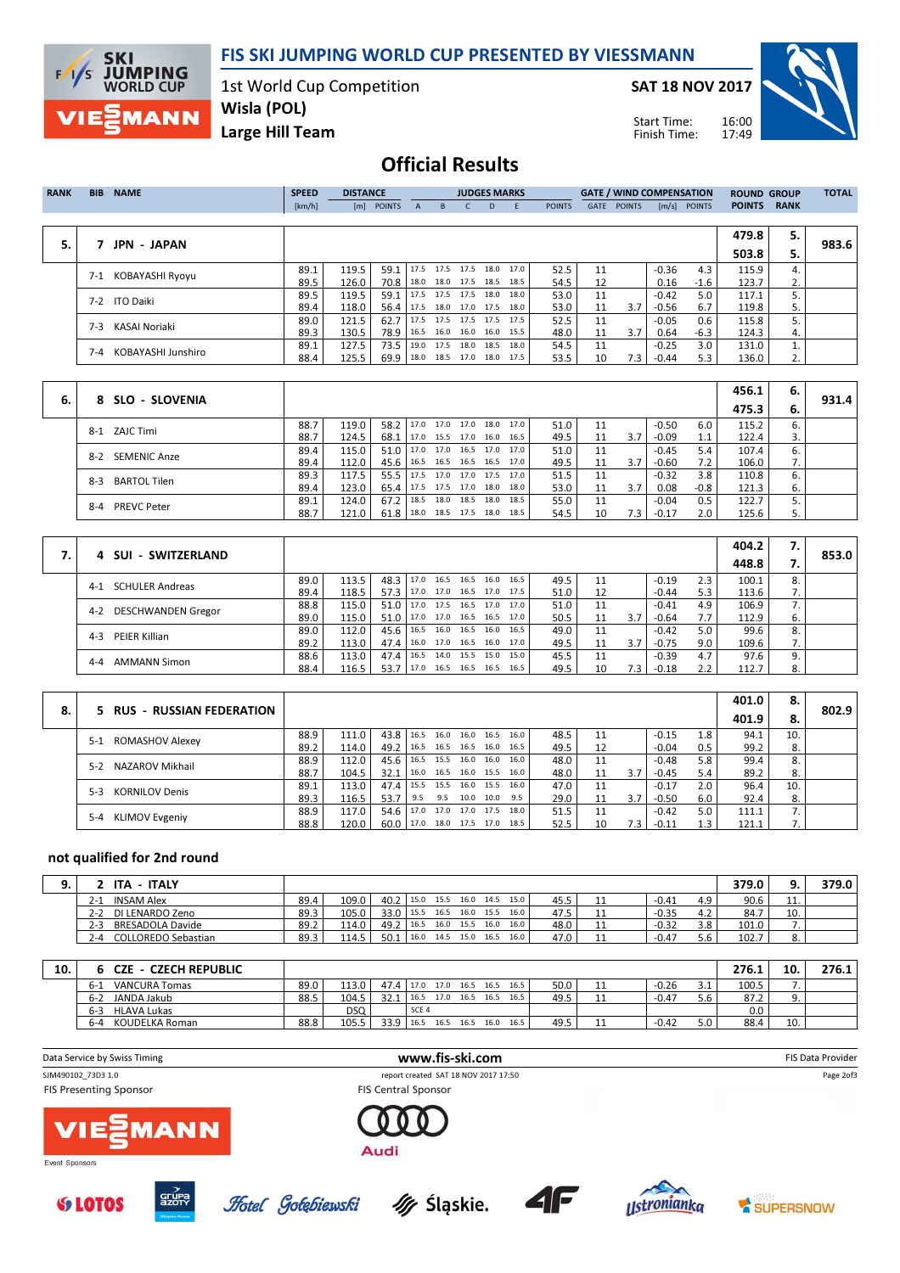FIS SKI JUMPING WORLD CUP PRESENTED BY VIESSMANN

1st World Cup Competition Wisla (POL)

**MANN** Large Hill Team

**SKI** 

 $F/1/S$ 

**JUMPING**<br>WORLD CUP

SAT 18 NOV 2017

Start Time: Finish Time:



# Official Results

| <b>RANK</b> | <b>BIB</b> | <b>NAME</b>        | <b>SPEED</b> | <b>DISTANCE</b> |                          |              |                | <b>JUDGES MARKS</b>      |      |                          |               |      | <b>GATE / WIND COMPENSATION</b> |                     |               | <b>ROUND GROUP</b> |             | <b>TOTAL</b> |
|-------------|------------|--------------------|--------------|-----------------|--------------------------|--------------|----------------|--------------------------|------|--------------------------|---------------|------|---------------------------------|---------------------|---------------|--------------------|-------------|--------------|
|             |            |                    | [km/h]       | [m]             | <b>POINTS</b>            | $\mathsf{A}$ | B.             |                          | D.   | -F                       | <b>POINTS</b> | GATE | <b>POINTS</b>                   | $\lceil m/s \rceil$ | <b>POINTS</b> | <b>POINTS</b>      | <b>RANK</b> |              |
|             |            |                    |              |                 |                          |              |                |                          |      |                          |               |      |                                 |                     |               |                    |             |              |
|             |            |                    |              |                 |                          |              |                |                          |      |                          |               |      |                                 |                     |               | 479.8              | 5.          |              |
| 5.          |            | <b>JPN - JAPAN</b> |              |                 |                          |              |                |                          |      |                          |               |      |                                 |                     |               | 503.8              | 5.          | 983.6        |
|             | $7 - 1$    | KOBAYASHI Ryoyu    | 89.1         | 119.5           | 59.1   17.5 17.5 17.5    |              |                |                          |      | 18.0 17.0                | 52.5          | 11   |                                 | $-0.36$             | 4.3           | 115.9              | 4.          |              |
|             |            |                    | 89.5         | 126.0           | 70.8                     |              |                | 18.0 18.0 17.5 18.5 18.5 |      |                          | 54.5          | 12   |                                 | 0.16                | -1.6          | 123.7              | 2.          |              |
|             |            | 7-2 ITO Daiki      | 89.5         | 119.5           | 59.1                     |              | 17.5 17.5 17.5 |                          | 18.0 | 18.0                     | 53.0          | 11   |                                 | $-0.42$             | 5.0           | 117.1              |             |              |
|             |            |                    | 89.4         | 118.0           | 56.4 17.5 18.0 17.0 17.5 |              |                |                          |      | 18.0                     | 53.0          | 11   | 3.7                             | $-0.56$             | 6.7           | 119.8              | 5.          |              |
|             | 7-3        | KASAI Noriaki      | 89.0         | 121.5           | 62.7                     |              |                |                          |      | 17.5 17.5 17.5 17.5 17.5 | 52.5          | 11   |                                 | $-0.05$             | 0.6           | 115.8              |             |              |
|             |            |                    | 89.3         | 130.5           | 78.9                     |              |                | 16.5 16.0 16.0 16.0 15.5 |      |                          | 48.0          | 11   | 3.7                             | 0.64                | $-6.3$        | 124.3              | 4.          |              |
|             | 7-4        | KOBAYASHI Junshiro | 89.1         | 127.5           | 73.5                     |              |                |                          |      | 19.0 17.5 18.0 18.5 18.0 | 54.5          | 11   |                                 | $-0.25$             | 3.0           | 131.0              |             |              |
|             |            |                    | 88.4         | 125.5           | 69.9                     |              | 18.0 18.5 17.0 |                          |      | 18.0 17.5                | 53.5          | 10   | 7.3                             | $-0.44$             | 5.3           | 136.0              |             |              |

|    |                               |      |       |                                 |                                 |      |                     |      |      |    |         |         |        | 456.1 | 6. | 931.4 |
|----|-------------------------------|------|-------|---------------------------------|---------------------------------|------|---------------------|------|------|----|---------|---------|--------|-------|----|-------|
| 6. | 8 SLO - SLOVENIA              |      |       |                                 |                                 |      |                     |      |      |    |         |         |        | 475.3 | 6. |       |
|    | 8-1 ZAJC Timi                 | 88.7 | 119.0 | $58.2$   17.0                   |                                 |      | 17.0 17.0 18.0 17.0 |      | 51.0 | 11 |         | $-0.50$ | 6.0    | 115.2 | 6. |       |
|    |                               | 88.7 | 124.5 | 68.1                            | 17.0 15.5 17.0 16.0 16.5        |      |                     |      | 49.5 | 11 | 3.7     | $-0.09$ | 1.1    | 122.4 |    |       |
|    | 8-2 SEMENIC Anze              | 89.4 | 115.0 | $51.0$   17.0                   |                                 |      | 17.0 16.5 17.0 17.0 |      | 51.0 |    |         | $-0.45$ | 5.4    | 107.4 | 6. |       |
|    |                               | 89.4 | 112.0 | 45.6                            | 16.5 16.5 16.5 16.5 17.0        |      |                     |      | 49.5 | 11 | 3.7     | $-0.60$ | 7.2    | 106.0 | 7. |       |
|    | <b>BARTOL Tilen</b><br>$8-3$  | 89.3 | 117.5 |                                 | 55.5   17.5 17.0 17.0 17.5 17.0 |      |                     |      | 51.5 |    |         | $-0.32$ | 3.8    | 110.8 | 6. |       |
|    |                               | 89.4 | 123.0 | 65.4   17.5 17.5 17.0 18.0 18.0 |                                 |      |                     |      | 53.0 | 11 | 3.7     | 0.08    | $-0.8$ | 121.3 | ь. |       |
|    | <b>PREVC Peter</b><br>$8 - 4$ | 89.1 | 124.0 | $67.2$ 18.5                     |                                 | 18.0 | 18.5 18.0           | 18.5 | 55.0 |    |         | $-0.04$ | 0.5    | 122.7 |    |       |
|    |                               | 88.7 | 121.0 | 61.8                            | 18.0 18.5 17.5 18.0 18.5        |      |                     |      | 54.5 | 10 | $7.3$ . | $-0.17$ | 2.0    | 125.6 |    |       |

|                                  |      |       |                               |               |      |           |                |                     |      |    |     |         |     | 404.2 | 7. |       |
|----------------------------------|------|-------|-------------------------------|---------------|------|-----------|----------------|---------------------|------|----|-----|---------|-----|-------|----|-------|
| 4 SUI - SWITZERLAND              |      |       |                               |               |      |           |                |                     |      |    |     |         |     | 448.8 |    | 853.0 |
| <b>SCHULER Andreas</b><br>$4-1$  | 89.0 | 113.5 | $48.3$ 17.0                   |               | 16.5 | 16.5      | 16.0           | 16.5                | 49.5 | 11 |     | $-0.19$ | 2.3 | 100.1 | 8. |       |
|                                  | 89.4 | 118.5 | 57.3 17.0 17.0 16.5 17.0 17.5 |               |      |           |                |                     | 51.0 |    |     | $-0.44$ | 5.3 | 113.6 |    |       |
| <b>DESCHWANDEN Gregor</b><br>4-2 | 88.8 | 115.0 | $51.0$   17.0                 |               | 17.5 |           | 16.5 17.0      | 17.0                | 51.0 | 11 |     | $-0.41$ | 4.9 | 106.9 |    |       |
|                                  | 89.0 | 115.0 | 51.0 17.0 17.0 16.5 16.5 17.0 |               |      |           |                |                     | 50.5 | 11 | 3.7 | $-0.64$ | 7.7 | 112.9 | ь. |       |
| PEIER Killian<br>$4 - 3$         | 89.0 | 112.0 | $45.6$   16.5                 |               |      | 16.0 16.5 | 16.0           | 16.5                | 49.0 | 11 |     | $-0.42$ | 5.0 | 99.6  | 8. |       |
|                                  | 89.2 | 113.0 | 47.4 16.0                     |               |      |           |                | 17.0 16.5 16.0 17.0 | 49.5 | 11 | 3.7 | $-0.75$ | 9.0 | 109.6 |    |       |
| <b>AMMANN Simon</b><br>$4 - 4$   | 88.6 | 113.0 | 47.4   16.5                   |               |      |           | 14.0 15.5 15.0 | 15.0                | 45.5 |    |     | $-0.39$ | 4.7 | 97.6  |    |       |
|                                  | 88.4 | 116.5 | 53.7                          | $7 \mid 17.0$ | 16.5 |           | 16.5 16.5      | 16.5                | 49.5 | 10 | 7.3 | $-0.18$ |     | 112.7 | 8. |       |

|    |                                  |      |       |        |      |      |           |                |      |      |    |     |         |     | 401.0 | 8.  |       |
|----|----------------------------------|------|-------|--------|------|------|-----------|----------------|------|------|----|-----|---------|-----|-------|-----|-------|
| 8. | 5 RUS - RUSSIAN FEDERATION       |      |       |        |      |      |           |                |      |      |    |     |         |     | 401.9 | -8. | 802.9 |
|    | ROMASHOV Alexey                  | 88.9 | 111.0 | 43.8   | 16.5 | 16.0 | 16.0 16.5 |                | 16.0 | 48.5 | 11 |     | $-0.15$ | 1.8 | 94.1  | 10. |       |
|    | $5-1$                            | 89.2 | 114.0 | 49.2 l | 16.5 |      |           | 16.5 16.5 16.0 | 16.5 | 49.5 | 12 |     | $-0.04$ | 0.5 | 99.2  | 8.  |       |
|    | 5-2 NAZAROV Mikhail              | 88.9 | 112.0 | 45.6 l | 16.5 | 15.5 | 16.0      | 16.0           | 16.0 | 48.0 | 11 |     | $-0.48$ | 5.8 | 99.4  | 8.  |       |
|    |                                  | 88.7 | 104.5 | 32.1   | 16.0 |      |           | 16.5 16.0 15.5 | 16.0 | 48.0 | 11 | 3.7 | $-0.45$ | 5.4 | 89.2  | 8.  |       |
|    | <b>KORNILOV Denis</b><br>$5-3$   | 89.1 | 113.0 | 47.4   | 15.5 | 15.5 | 16.0 15.5 |                | 16.0 | 47.0 | 11 |     | $-0.17$ | 2.0 | 96.4  | 10. |       |
|    |                                  | 89.3 | 116.5 | 53.7   | 9.5  | 9.5  | 10.0 10.0 |                | 9.5  | 29.0 | 11 | 3.7 | $-0.50$ | 6.0 | 92.4  | 8.  |       |
|    | <b>KLIMOV Evgeniy</b><br>$5 - 4$ | 88.9 | 117.0 | 54.6   | 17.0 | 17.0 | 17.0 17.5 |                | 18.0 | 51.5 | 11 |     | $-0.42$ | 5.0 | 111.1 |     |       |
|    |                                  | 88.8 | 120.0 | 60.01  | 17.0 | 18.0 | 17.5 17.0 |                | 18.5 | 52.5 | 10 | 7.3 | $-0.11$ |     | 121.1 |     |       |

## not qualified for 2nd round

| <b>ITA</b><br>- ITALY                 |      |       |           |      |                |             |      |      |      |            |         |     | 379.0 |         | 379.0 |
|---------------------------------------|------|-------|-----------|------|----------------|-------------|------|------|------|------------|---------|-----|-------|---------|-------|
| <b>INSAM Alex</b><br>$2 - 1$          | 89.4 | 109.0 | 40.2      | 15.0 | 15.5 16.0 14.5 |             |      | 15.0 | 45.5 | <b>. .</b> | -0.41   | 4.9 | 90.6  | <b></b> |       |
| DI LENARDO Zeno<br>$2 - 2$            | 89.3 | 105.0 | 33.0 15.5 |      | 16.5           | $16.0$ 15.5 |      | 16.0 | 47.5 | <b>. .</b> | $-0.35$ | 4.2 | 84.7  | 10.     |       |
| <b>BRESADOLA Davide</b><br>$2 - 3$    | 89.2 | 114.0 | 49.2      | 16.5 | 16.0 15.5 16.0 |             |      | 16.0 | 48.0 | <b>. .</b> | $-0.32$ | 3.8 | 101.0 |         |       |
| <b>COLLOREDO Sebastian</b><br>$2 - 4$ | 89.3 | 114.5 | 50.1      | 16.0 | 14.5           | 15.0        | 16.5 | 16.0 | 47.0 | + +        | $-0.47$ | ں ر | 102.7 |         |       |

| 10. | <b>CZE - CZECH REPUBLIC</b>   |      |            |           |       |                |      |              |      |            |         |            | 276.1 | 10  | 276.1 |
|-----|-------------------------------|------|------------|-----------|-------|----------------|------|--------------|------|------------|---------|------------|-------|-----|-------|
|     | <b>VANCURA Tomas</b><br>-6-1  | 89.0 | 113.0      | 47.4 17.0 |       | 17.0 16.5 16.5 |      | 16.5         | 50.0 | <b>. .</b> | $-0.26$ | ـ . ـ      | 100.5 |     |       |
|     | JANDA Jakub<br>$6-2$          | 88.5 | 104.5      | 32.1      | 16.5  | 17.0           | 16.5 | 16.5<br>16.5 | 49.5 |            | $-0.47$ | 5.6        | 87.2  |     |       |
|     | <b>HLAVA Lukas</b><br>$6 - 3$ |      | <b>DSQ</b> |           | SCE 4 |                |      |              |      |            |         |            | 0.0   |     |       |
|     | KOUDELKA Roman<br>$6 - 4$     | 88.8 | 105.5      | 33.9      | 16.5  | 16.5 16.5      |      | 16.0<br>16.5 | 49.5 | . .        | $-0.42$ | ה ב<br>J.U | 88.4  | 10. |       |

Data Service by Swiss Timing **WWW.fis-ski.com** FIS Data Provider<br>
FIS Data Provider<br>
FIS Data Provider
FIS Data Provider
FIS Data Provider
FIS Data Provider
FIS Data Provider
FIS Data Provider
FIS Data Provider
FIS Data Pr report created SAT 18 NOV 2017 17:50 Page 2of3**FIS Presenting Sponsor FIS Central Sponsor AANI** Audi Event Sponsors

My Śląskie.